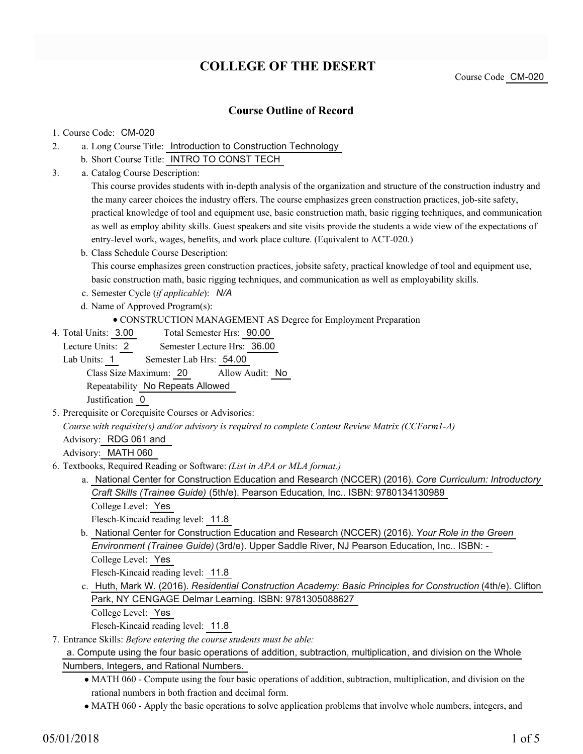# **COLLEGE OF THE DESERT**

Course Code CM-020

### **Course Outline of Record**

#### 1. Course Code: CM-020

- a. Long Course Title: Introduction to Construction Technology 2.
	- b. Short Course Title: INTRO TO CONST TECH
- Catalog Course Description: a. 3.

This course provides students with in-depth analysis of the organization and structure of the construction industry and the many career choices the industry offers. The course emphasizes green construction practices, job-site safety, practical knowledge of tool and equipment use, basic construction math, basic rigging techniques, and communication as well as employ ability skills. Guest speakers and site visits provide the students a wide view of the expectations of entry-level work, wages, benefits, and work place culture. (Equivalent to ACT-020.)

b. Class Schedule Course Description: This course emphasizes green construction practices, jobsite safety, practical knowledge of tool and equipment use, basic construction math, basic rigging techniques, and communication as well as employability skills.

c. Semester Cycle (*if applicable*): *N/A*

- d. Name of Approved Program(s):
	- CONSTRUCTION MANAGEMENT AS Degree for Employment Preparation
- Total Semester Hrs: 90.00 4. Total Units: 3.00

Lecture Units: 2 Semester Lecture Hrs: 36.00

Lab Units: 1 Semester Lab Hrs: 54.00

Class Size Maximum: 20 Allow Audit: No

Repeatability No Repeats Allowed

Justification 0

5. Prerequisite or Corequisite Courses or Advisories:

*Course with requisite(s) and/or advisory is required to complete Content Review Matrix (CCForm1-A)*

Advisory: RDG 061 and

Advisory: MATH 060

- Textbooks, Required Reading or Software: *(List in APA or MLA format.)* 6.
	- a. National Center for Construction Education and Research (NCCER) (2016). *Core Curriculum: Introductory Craft Skills (Trainee Guide)* (5th/e). Pearson Education, Inc.. ISBN: 9780134130989

College Level: Yes

Flesch-Kincaid reading level: 11.8

b. National Center for Construction Education and Research (NCCER) (2016). *Your Role in the Green Environment (Trainee Guide)* (3rd/e). Upper Saddle River, NJ Pearson Education, Inc.. ISBN: - College Level: Yes

Flesch-Kincaid reading level: 11.8

c. Huth, Mark W. (2016). *Residential Construction Academy: Basic Principles for Construction* (4th/e). Clifton Park, NY CENGAGE Delmar Learning. ISBN: 9781305088627

```
College Level: Yes
```
Flesch-Kincaid reading level: 11.8

Entrance Skills: *Before entering the course students must be able:* 7.

#### a. Compute using the four basic operations of addition, subtraction, multiplication, and division on the Whole Numbers, Integers, and Rational Numbers.

- MATH 060 Compute using the four basic operations of addition, subtraction, multiplication, and division on the rational numbers in both fraction and decimal form.
- MATH 060 Apply the basic operations to solve application problems that involve whole numbers, integers, and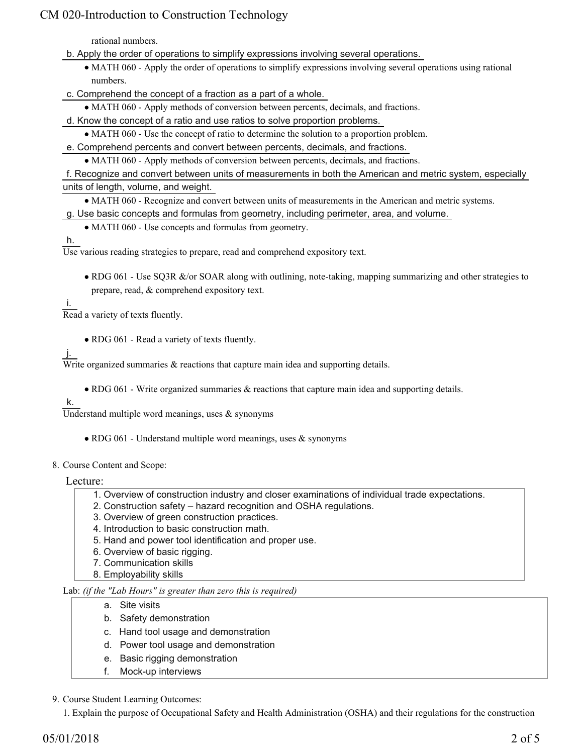## CM 020-Introduction to Construction Technology

rational numbers.

- b. Apply the order of operations to simplify expressions involving several operations.
	- MATH 060 Apply the order of operations to simplify expressions involving several operations using rational numbers.
- c. Comprehend the concept of a fraction as a part of a whole.
- MATH 060 Apply methods of conversion between percents, decimals, and fractions.
- d. Know the concept of a ratio and use ratios to solve proportion problems.
	- MATH 060 Use the concept of ratio to determine the solution to a proportion problem.
- e. Comprehend percents and convert between percents, decimals, and fractions.
	- MATH 060 Apply methods of conversion between percents, decimals, and fractions.

f. Recognize and convert between units of measurements in both the American and metric system, especially units of length, volume, and weight.

MATH 060 - Recognize and convert between units of measurements in the American and metric systems.

- g. Use basic concepts and formulas from geometry, including perimeter, area, and volume.
	- MATH 060 Use concepts and formulas from geometry.

#### h.

Use various reading strategies to prepare, read and comprehend expository text.

• RDG 061 - Use SQ3R &/or SOAR along with outlining, note-taking, mapping summarizing and other strategies to prepare, read, & comprehend expository text.

i.

Read a variety of texts fluently.

RDG 061 - Read a variety of texts fluently.

### j.

Write organized summaries  $\&$  reactions that capture main idea and supporting details.

• RDG 061 - Write organized summaries & reactions that capture main idea and supporting details.

#### k.

Understand multiple word meanings, uses  $\&$  synonyms

• RDG 061 - Understand multiple word meanings, uses & synonyms

### 8. Course Content and Scope:

#### Lecture:

- 1. Overview of construction industry and closer examinations of individual trade expectations.
- 2. Construction safety hazard recognition and OSHA regulations.
- 3. Overview of green construction practices.
- 4. Introduction to basic construction math.
- 5. Hand and power tool identification and proper use.
- 6. Overview of basic rigging.
- 7. Communication skills
- 8. Employability skills

#### Lab: *(if the "Lab Hours" is greater than zero this is required)*

- a. Site visits
- b. Safety demonstration
- c. Hand tool usage and demonstration
- d. Power tool usage and demonstration
- e. Basic rigging demonstration
- f. Mock-up interviews
- 9. Course Student Learning Outcomes:

1. Explain the purpose of Occupational Safety and Health Administration (OSHA) and their regulations for the construction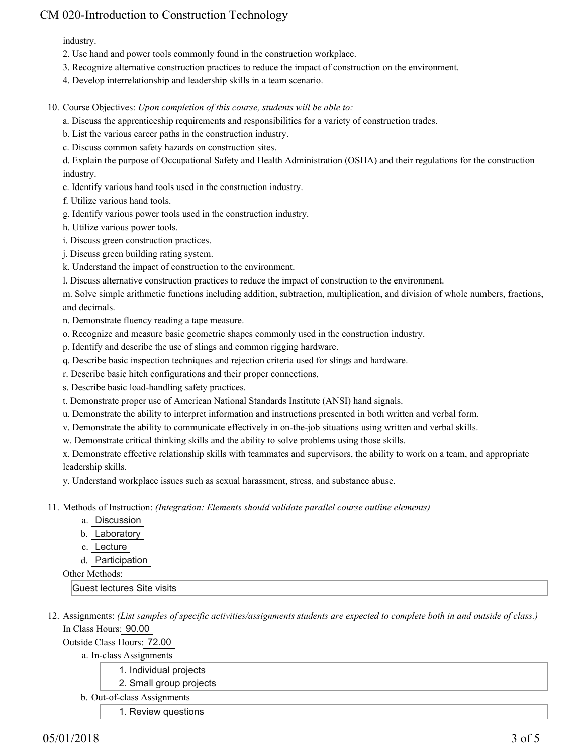## CM 020-Introduction to Construction Technology

industry.

- 2. Use hand and power tools commonly found in the construction workplace.
- 3. Recognize alternative construction practices to reduce the impact of construction on the environment.
- 4. Develop interrelationship and leadership skills in a team scenario.
- 10. Course Objectives: Upon completion of this course, students will be able to:
	- a. Discuss the apprenticeship requirements and responsibilities for a variety of construction trades.
	- b. List the various career paths in the construction industry.
	- c. Discuss common safety hazards on construction sites.

d. Explain the purpose of Occupational Safety and Health Administration (OSHA) and their regulations for the construction industry.

- e. Identify various hand tools used in the construction industry.
- f. Utilize various hand tools.
- g. Identify various power tools used in the construction industry.
- h. Utilize various power tools.
- i. Discuss green construction practices.
- j. Discuss green building rating system.
- k. Understand the impact of construction to the environment.
- l. Discuss alternative construction practices to reduce the impact of construction to the environment.

m. Solve simple arithmetic functions including addition, subtraction, multiplication, and division of whole numbers, fractions, and decimals.

- n. Demonstrate fluency reading a tape measure.
- o. Recognize and measure basic geometric shapes commonly used in the construction industry.
- p. Identify and describe the use of slings and common rigging hardware.
- q. Describe basic inspection techniques and rejection criteria used for slings and hardware.
- r. Describe basic hitch configurations and their proper connections.
- s. Describe basic load-handling safety practices.
- t. Demonstrate proper use of American National Standards Institute (ANSI) hand signals.
- u. Demonstrate the ability to interpret information and instructions presented in both written and verbal form.
- v. Demonstrate the ability to communicate effectively in on-the-job situations using written and verbal skills.
- w. Demonstrate critical thinking skills and the ability to solve problems using those skills.

x. Demonstrate effective relationship skills with teammates and supervisors, the ability to work on a team, and appropriate leadership skills.

y. Understand workplace issues such as sexual harassment, stress, and substance abuse.

Methods of Instruction: *(Integration: Elements should validate parallel course outline elements)* 11.

- a. Discussion
- b. Laboratory
- c. Lecture
- d. Participation
- Other Methods:

Guest lectures Site visits

12. Assignments: (List samples of specific activities/assignments students are expected to complete both in and outside of class.) In Class Hours: 90.00

Outside Class Hours: 72.00

- a. In-class Assignments
	- 1. Individual projects
	- 2. Small group projects
- b. Out-of-class Assignments
	- 1. Review questions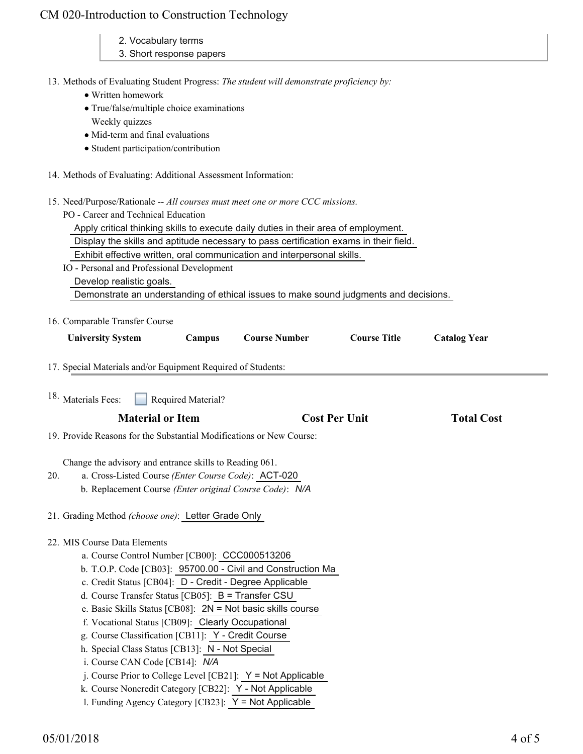| CM 020-Introduction to Construction Technology |  |
|------------------------------------------------|--|
|------------------------------------------------|--|

|     | 'M 020-Introduction to Construction Technology                                                                                                                                                                                                                                                                                                                                                                                                                                                                                                     |                     |
|-----|----------------------------------------------------------------------------------------------------------------------------------------------------------------------------------------------------------------------------------------------------------------------------------------------------------------------------------------------------------------------------------------------------------------------------------------------------------------------------------------------------------------------------------------------------|---------------------|
|     | 2. Vocabulary terms<br>3. Short response papers                                                                                                                                                                                                                                                                                                                                                                                                                                                                                                    |                     |
|     | 13. Methods of Evaluating Student Progress: The student will demonstrate proficiency by:<br>• Written homework                                                                                                                                                                                                                                                                                                                                                                                                                                     |                     |
|     | • True/false/multiple choice examinations<br>Weekly quizzes<br>• Mid-term and final evaluations                                                                                                                                                                                                                                                                                                                                                                                                                                                    |                     |
|     | • Student participation/contribution<br>14. Methods of Evaluating: Additional Assessment Information:                                                                                                                                                                                                                                                                                                                                                                                                                                              |                     |
|     | 15. Need/Purpose/Rationale -- All courses must meet one or more CCC missions.<br>PO - Career and Technical Education<br>Apply critical thinking skills to execute daily duties in their area of employment.<br>Display the skills and aptitude necessary to pass certification exams in their field.<br>Exhibit effective written, oral communication and interpersonal skills.<br>IO - Personal and Professional Development<br>Develop realistic goals.<br>Demonstrate an understanding of ethical issues to make sound judgments and decisions. |                     |
|     | 16. Comparable Transfer Course<br><b>Course Number</b><br><b>Course Title</b><br><b>University System</b><br>Campus                                                                                                                                                                                                                                                                                                                                                                                                                                | <b>Catalog Year</b> |
|     | 17. Special Materials and/or Equipment Required of Students:                                                                                                                                                                                                                                                                                                                                                                                                                                                                                       |                     |
|     | 18. Materials Fees:<br><b>Required Material?</b>                                                                                                                                                                                                                                                                                                                                                                                                                                                                                                   |                     |
|     | <b>Material or Item</b><br><b>Cost Per Unit</b>                                                                                                                                                                                                                                                                                                                                                                                                                                                                                                    | <b>Total Cost</b>   |
|     | 19. Provide Reasons for the Substantial Modifications or New Course:                                                                                                                                                                                                                                                                                                                                                                                                                                                                               |                     |
|     |                                                                                                                                                                                                                                                                                                                                                                                                                                                                                                                                                    |                     |
| 20. | Change the advisory and entrance skills to Reading 061.<br>a. Cross-Listed Course (Enter Course Code): ACT-020<br>b. Replacement Course (Enter original Course Code): N/A                                                                                                                                                                                                                                                                                                                                                                          |                     |
|     | 21. Grading Method (choose one): Letter Grade Only                                                                                                                                                                                                                                                                                                                                                                                                                                                                                                 |                     |